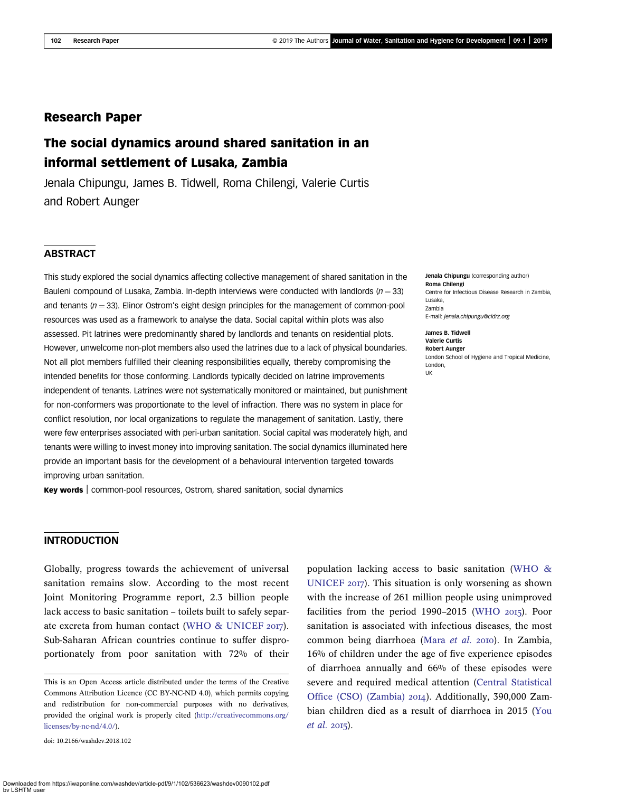# Research Paper

# The social dynamics around shared sanitation in an informal settlement of Lusaka, Zambia

Jenala Chipungu, James B. Tidwell, Roma Chilengi, Valerie Curtis and Robert Aunger

# **ABSTRACT**

This study explored the social dynamics affecting collective management of shared sanitation in the Bauleni compound of Lusaka, Zambia. In-depth interviews were conducted with landlords ( $n = 33$ ) and tenants ( $n = 33$ ). Elinor Ostrom's eight design principles for the management of common-pool resources was used as a framework to analyse the data. Social capital within plots was also assessed. Pit latrines were predominantly shared by landlords and tenants on residential plots. However, unwelcome non-plot members also used the latrines due to a lack of physical boundaries. Not all plot members fulfilled their cleaning responsibilities equally, thereby compromising the intended benefits for those conforming. Landlords typically decided on latrine improvements independent of tenants. Latrines were not systematically monitored or maintained, but punishment for non-conformers was proportionate to the level of infraction. There was no system in place for conflict resolution, nor local organizations to regulate the management of sanitation. Lastly, there were few enterprises associated with peri-urban sanitation. Social capital was moderately high, and tenants were willing to invest money into improving sanitation. The social dynamics illuminated here provide an important basis for the development of a behavioural intervention targeted towards improving urban sanitation.

Key words | common-pool resources, Ostrom, shared sanitation, social dynamics

#### Jenala Chipungu (corresponding author) Roma Chilengi Centre for Infectious Disease Research in Zambia, Lusaka, Zambia E-mail: [jenala.chipungu@cidrz.org](mailto:jenala.chipungu@cidrz.org)

James B. Tidwell Valerie Curtis Robert Aunger London School of Hygiene and Tropical Medicine, London, UK

#### INTRODUCTION

Globally, progress towards the achievement of universal sanitation remains slow. According to the most recent Joint Monitoring Programme report, 2.3 billion people lack access to basic sanitation – toilets built to safely separate excreta from human contact (WHO  $\&$  UNICEF 2017). Sub-Saharan African countries continue to suffer disproportionately from poor sanitation with 72% of their

doi: 10.2166/washdev.2018.102

population lacking access to basic sanitation [\(WHO &](#page-8-0) [UNICEF](#page-8-0)  $20I7$ ). This situation is only worsening as shown with the increase of 261 million people using unimproved facilities from the period  $1990-2015$  [\(WHO](#page-8-0)  $2015$ ). Poor sanitation is associated with infectious diseases, the most common being diarrhoea [\(Mara](#page-8-0) et al. 2010). In Zambia, 16% of children under the age of five experience episodes of diarrhoea annually and 66% of these episodes were severe and required medical attention ([Central Statistical](#page-7-0) [Office \(CSO\) \(Zambia\)](#page-7-0) 2014). Additionally, 390,000 Zambian children died as a result of diarrhoea in 2015 ([You](#page-8-0)  $et$  al. 2015).

This is an Open Access article distributed under the terms of the Creative Commons Attribution Licence (CC BY-NC-ND 4.0), which permits copying and redistribution for non-commercial purposes with no derivatives, provided the original work is properly cited [\(http://creativecommons.org/](http://creativecommons.org/licenses/by-nc-nd/4.0/) [licenses/by-nc-nd/4.0/\)](http://creativecommons.org/licenses/by-nc-nd/4.0/).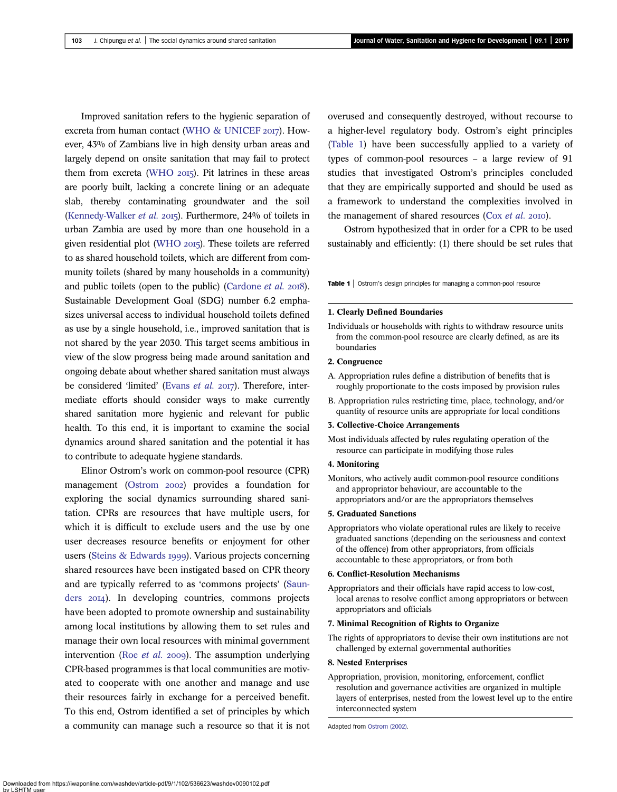<span id="page-1-0"></span>Improved sanitation refers to the hygienic separation of excreta from human contact (WHO  $\&$  UNICEF 2017). However, 43% of Zambians live in high density urban areas and largely depend on onsite sanitation that may fail to protect them from excreta [\(WHO](#page-8-0)  $2015$ ). Pit latrines in these areas are poorly built, lacking a concrete lining or an adequate slab, thereby contaminating groundwater and the soil [\(Kennedy-Walker](#page-8-0) et al. 2015). Furthermore, 24% of toilets in urban Zambia are used by more than one household in a given residential plot [\(WHO](#page-8-0) 2015). These toilets are referred to as shared household toilets, which are different from community toilets (shared by many households in a community) and public toilets (open to the public) ([Cardone](#page-7-0)  $et$   $al.$  2018). Sustainable Development Goal (SDG) number 6.2 emphasizes universal access to individual household toilets defined as use by a single household, i.e., improved sanitation that is not shared by the year 2030. This target seems ambitious in view of the slow progress being made around sanitation and ongoing debate about whether shared sanitation must always be considered 'limited' [\(Evans](#page-7-0) et al. 2017). Therefore, intermediate efforts should consider ways to make currently shared sanitation more hygienic and relevant for public health. To this end, it is important to examine the social dynamics around shared sanitation and the potential it has to contribute to adequate hygiene standards.

Elinor Ostrom's work on common-pool resource (CPR) management [\(Ostrom](#page-8-0) 2002) provides a foundation for exploring the social dynamics surrounding shared sanitation. CPRs are resources that have multiple users, for which it is difficult to exclude users and the use by one user decreases resource benefits or enjoyment for other users (Steins  $& Edwards$  1999). Various projects concerning shared resources have been instigated based on CPR theory and are typically referred to as 'commons projects' [\(Saun](#page-8-0)[ders](#page-8-0) 2014). In developing countries, commons projects have been adopted to promote ownership and sustainability among local institutions by allowing them to set rules and manage their own local resources with minimal government intervention (Roe  $et$  al. 2009). The assumption underlying CPR-based programmes is that local communities are motivated to cooperate with one another and manage and use their resources fairly in exchange for a perceived benefit. To this end, Ostrom identified a set of principles by which a community can manage such a resource so that it is not

overused and consequently destroyed, without recourse to a higher-level regulatory body. Ostrom's eight principles (Table 1) have been successfully applied to a variety of types of common-pool resources – a large review of 91 studies that investigated Ostrom's principles concluded that they are empirically supported and should be used as a framework to understand the complexities involved in the management of shared resources ( $Cox et al.$  $Cox et al.$  2010).

Ostrom hypothesized that in order for a CPR to be used sustainably and efficiently: (1) there should be set rules that

Table 1 | Ostrom's design principles for managing a common-pool resource

#### 1. Clearly Defined Boundaries

Individuals or households with rights to withdraw resource units from the common-pool resource are clearly defined, as are its boundaries

#### 2. Congruence

- A. Appropriation rules define a distribution of benefits that is roughly proportionate to the costs imposed by provision rules
- B. Appropriation rules restricting time, place, technology, and/or quantity of resource units are appropriate for local conditions

#### 3. Collective-Choice Arrangements

Most individuals affected by rules regulating operation of the resource can participate in modifying those rules

#### 4. Monitoring

Monitors, who actively audit common-pool resource conditions and appropriator behaviour, are accountable to the appropriators and/or are the appropriators themselves

#### 5. Graduated Sanctions

Appropriators who violate operational rules are likely to receive graduated sanctions (depending on the seriousness and context of the offence) from other appropriators, from officials accountable to these appropriators, or from both

#### 6. Conflict-Resolution Mechanisms

Appropriators and their officials have rapid access to low-cost, local arenas to resolve conflict among appropriators or between appropriators and officials

#### 7. Minimal Recognition of Rights to Organize

The rights of appropriators to devise their own institutions are not challenged by external governmental authorities

#### 8. Nested Enterprises

Appropriation, provision, monitoring, enforcement, conflict resolution and governance activities are organized in multiple layers of enterprises, nested from the lowest level up to the entire interconnected system

Adapted from [Ostrom \(2002\)](#page-8-0).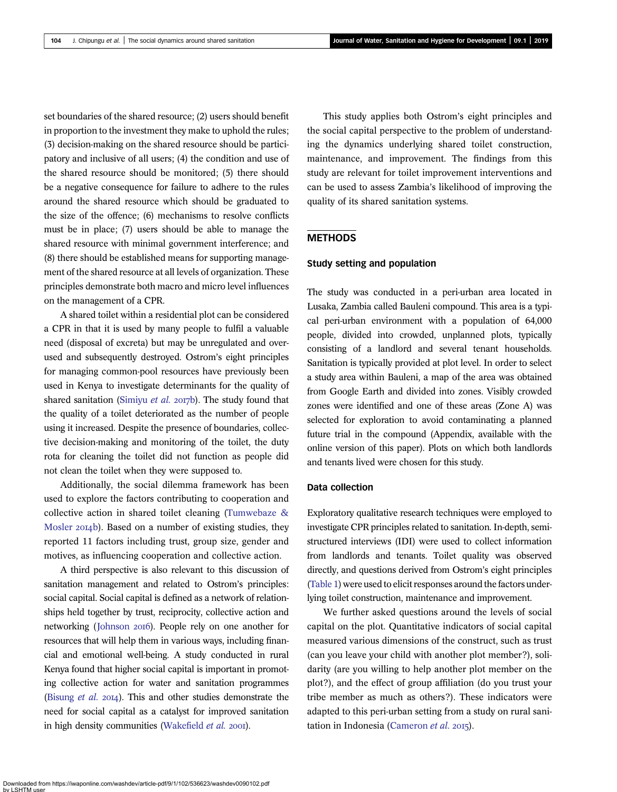set boundaries of the shared resource; (2) users should benefit in proportion to the investment they make to uphold the rules; (3) decision-making on the shared resource should be participatory and inclusive of all users; (4) the condition and use of the shared resource should be monitored; (5) there should be a negative consequence for failure to adhere to the rules around the shared resource which should be graduated to the size of the offence; (6) mechanisms to resolve conflicts must be in place; (7) users should be able to manage the shared resource with minimal government interference; and (8) there should be established means for supporting management of the shared resource at all levels of organization. These principles demonstrate both macro and micro level influences on the management of a CPR.

A shared toilet within a residential plot can be considered a CPR in that it is used by many people to fulfil a valuable need (disposal of excreta) but may be unregulated and overused and subsequently destroyed. Ostrom's eight principles for managing common-pool resources have previously been used in Kenya to investigate determinants for the quality of shared sanitation [\(Simiyu](#page-8-0) et al. 2017b). The study found that the quality of a toilet deteriorated as the number of people using it increased. Despite the presence of boundaries, collective decision-making and monitoring of the toilet, the duty rota for cleaning the toilet did not function as people did not clean the toilet when they were supposed to.

Additionally, the social dilemma framework has been used to explore the factors contributing to cooperation and collective action in shared toilet cleaning [\(Tumwebaze &](#page-8-0) [Mosler](#page-8-0) 2014b). Based on a number of existing studies, they reported 11 factors including trust, group size, gender and motives, as influencing cooperation and collective action.

A third perspective is also relevant to this discussion of sanitation management and related to Ostrom's principles: social capital. Social capital is defined as a network of relationships held together by trust, reciprocity, collective action and networking ([Johnson](#page-8-0) 2016). People rely on one another for resources that will help them in various ways, including financial and emotional well-being. A study conducted in rural Kenya found that higher social capital is important in promoting collective action for water and sanitation programmes [\(Bisung](#page-7-0) *et al.*  $20I4$ ). This and other studies demonstrate the need for social capital as a catalyst for improved sanitation in high density communities [\(Wakefield](#page-8-0) et al. 2001).

This study applies both Ostrom's eight principles and the social capital perspective to the problem of understanding the dynamics underlying shared toilet construction, maintenance, and improvement. The findings from this study are relevant for toilet improvement interventions and can be used to assess Zambia's likelihood of improving the quality of its shared sanitation systems.

# **METHODS**

## Study setting and population

The study was conducted in a peri-urban area located in Lusaka, Zambia called Bauleni compound. This area is a typical peri-urban environment with a population of 64,000 people, divided into crowded, unplanned plots, typically consisting of a landlord and several tenant households. Sanitation is typically provided at plot level. In order to select a study area within Bauleni, a map of the area was obtained from Google Earth and divided into zones. Visibly crowded zones were identified and one of these areas (Zone A) was selected for exploration to avoid contaminating a planned future trial in the compound (Appendix, available with the online version of this paper). Plots on which both landlords and tenants lived were chosen for this study.

## Data collection

Exploratory qualitative research techniques were employed to investigate CPR principles related to sanitation. In-depth, semistructured interviews (IDI) were used to collect information from landlords and tenants. Toilet quality was observed directly, and questions derived from Ostrom's eight principles [\(Table 1](#page-1-0)) were used to elicit responses around the factors underlying toilet construction, maintenance and improvement.

We further asked questions around the levels of social capital on the plot. Quantitative indicators of social capital measured various dimensions of the construct, such as trust (can you leave your child with another plot member?), solidarity (are you willing to help another plot member on the plot?), and the effect of group affiliation (do you trust your tribe member as much as others?). These indicators were adapted to this peri-urban setting from a study on rural sani-tation in Indonesia [\(Cameron](#page-7-0) et al. 2015).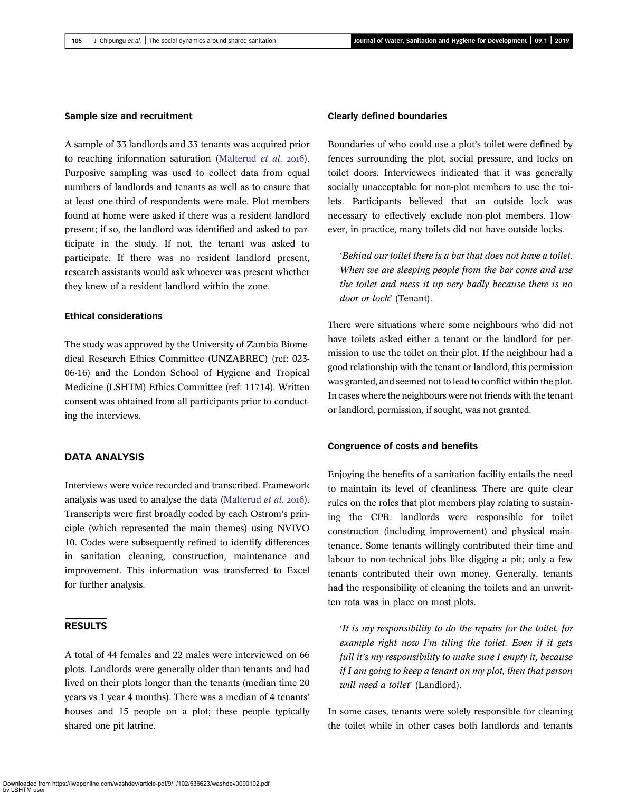## Sample size and recruitment

A sample of 33 landlords and 33 tenants was acquired prior to reaching information saturation [\(Malterud](#page-8-0) *et al.*  $20I6$ ). Purposive sampling was used to collect data from equal numbers of landlords and tenants as well as to ensure that at least one-third of respondents were male. Plot members found at home were asked if there was a resident landlord present; if so, the landlord was identified and asked to participate in the study. If not, the tenant was asked to participate. If there was no resident landlord present, research assistants would ask whoever was present whether they knew of a resident landlord within the zone.

## Ethical considerations

The study was approved by the University of Zambia Biomedical Research Ethics Committee (UNZABREC) (ref: 023- 06-16) and the London School of Hygiene and Tropical Medicine (LSHTM) Ethics Committee (ref: 11714). Written consent was obtained from all participants prior to conducting the interviews.

# DATA ANALYSIS

Interviews were voice recorded and transcribed. Framework analysis was used to analyse the data ([Malterud](#page-8-0) et al. 2016). Transcripts were first broadly coded by each Ostrom's principle (which represented the main themes) using NVIVO 10. Codes were subsequently refined to identify differences in sanitation cleaning, construction, maintenance and improvement. This information was transferred to Excel for further analysis.

# RESULTS

A total of 44 females and 22 males were interviewed on 66 plots. Landlords were generally older than tenants and had lived on their plots longer than the tenants (median time 20 years vs 1 year 4 months). There was a median of 4 tenants' houses and 15 people on a plot; these people typically shared one pit latrine.

#### Clearly defined boundaries

Boundaries of who could use a plot's toilet were defined by fences surrounding the plot, social pressure, and locks on toilet doors. Interviewees indicated that it was generally socially unacceptable for non-plot members to use the toilets. Participants believed that an outside lock was necessary to effectively exclude non-plot members. However, in practice, many toilets did not have outside locks.

'Behind our toilet there is a bar that does not have a toilet. When we are sleeping people from the bar come and use the toilet and mess it up very badly because there is no door or lock' (Tenant).

There were situations where some neighbours who did not have toilets asked either a tenant or the landlord for permission to use the toilet on their plot. If the neighbour had a good relationship with the tenant or landlord, this permission was granted, and seemed not to lead to conflict within the plot. In cases where the neighbours were not friends with the tenant or landlord, permission, if sought, was not granted.

### Congruence of costs and benefits

Enjoying the benefits of a sanitation facility entails the need to maintain its level of cleanliness. There are quite clear rules on the roles that plot members play relating to sustaining the CPR: landlords were responsible for toilet construction (including improvement) and physical maintenance. Some tenants willingly contributed their time and labour to non-technical jobs like digging a pit; only a few tenants contributed their own money. Generally, tenants had the responsibility of cleaning the toilets and an unwritten rota was in place on most plots.

'It is my responsibility to do the repairs for the toilet, for example right now I'm tiling the toilet. Even if it gets full it's my responsibility to make sure I empty it, because if I am going to keep a tenant on my plot, then that person will need a toilet' (Landlord).

In some cases, tenants were solely responsible for cleaning the toilet while in other cases both landlords and tenants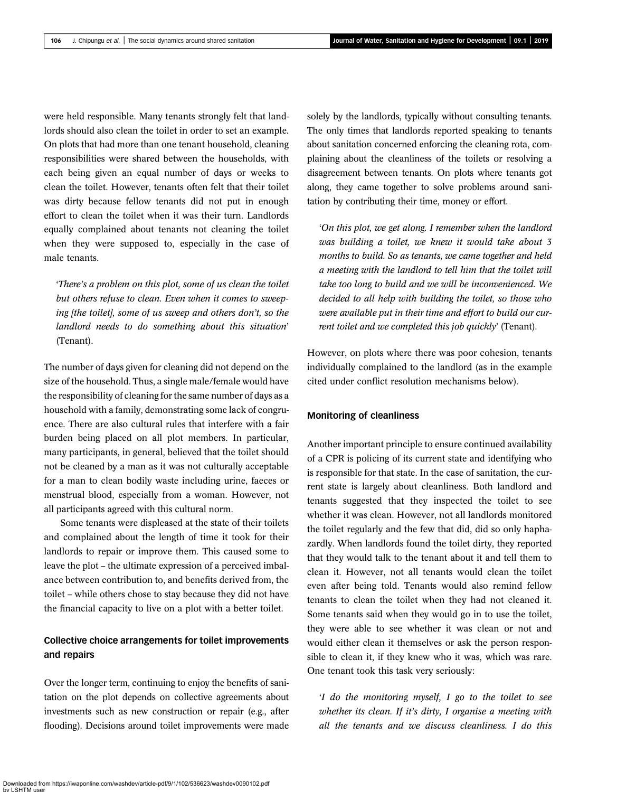were held responsible. Many tenants strongly felt that landlords should also clean the toilet in order to set an example. On plots that had more than one tenant household, cleaning responsibilities were shared between the households, with each being given an equal number of days or weeks to clean the toilet. However, tenants often felt that their toilet was dirty because fellow tenants did not put in enough effort to clean the toilet when it was their turn. Landlords equally complained about tenants not cleaning the toilet when they were supposed to, especially in the case of male tenants.

'There's a problem on this plot, some of us clean the toilet but others refuse to clean. Even when it comes to sweeping [the toilet], some of us sweep and others don't, so the landlord needs to do something about this situation' (Tenant).

The number of days given for cleaning did not depend on the size of the household. Thus, a single male/female would have the responsibility of cleaning for the same number of days as a household with a family, demonstrating some lack of congruence. There are also cultural rules that interfere with a fair burden being placed on all plot members. In particular, many participants, in general, believed that the toilet should not be cleaned by a man as it was not culturally acceptable for a man to clean bodily waste including urine, faeces or menstrual blood, especially from a woman. However, not all participants agreed with this cultural norm.

Some tenants were displeased at the state of their toilets and complained about the length of time it took for their landlords to repair or improve them. This caused some to leave the plot – the ultimate expression of a perceived imbalance between contribution to, and benefits derived from, the toilet – while others chose to stay because they did not have the financial capacity to live on a plot with a better toilet.

# Collective choice arrangements for toilet improvements and repairs

Over the longer term, continuing to enjoy the benefits of sanitation on the plot depends on collective agreements about investments such as new construction or repair (e.g., after flooding). Decisions around toilet improvements were made solely by the landlords, typically without consulting tenants. The only times that landlords reported speaking to tenants about sanitation concerned enforcing the cleaning rota, complaining about the cleanliness of the toilets or resolving a disagreement between tenants. On plots where tenants got along, they came together to solve problems around sanitation by contributing their time, money or effort.

'On this plot, we get along. I remember when the landlord was building a toilet, we knew it would take about 3 months to build. So as tenants, we came together and held a meeting with the landlord to tell him that the toilet will take too long to build and we will be inconvenienced. We decided to all help with building the toilet, so those who were available put in their time and effort to build our current toilet and we completed this job quickly' (Tenant).

However, on plots where there was poor cohesion, tenants individually complained to the landlord (as in the example cited under conflict resolution mechanisms below).

#### Monitoring of cleanliness

Another important principle to ensure continued availability of a CPR is policing of its current state and identifying who is responsible for that state. In the case of sanitation, the current state is largely about cleanliness. Both landlord and tenants suggested that they inspected the toilet to see whether it was clean. However, not all landlords monitored the toilet regularly and the few that did, did so only haphazardly. When landlords found the toilet dirty, they reported that they would talk to the tenant about it and tell them to clean it. However, not all tenants would clean the toilet even after being told. Tenants would also remind fellow tenants to clean the toilet when they had not cleaned it. Some tenants said when they would go in to use the toilet, they were able to see whether it was clean or not and would either clean it themselves or ask the person responsible to clean it, if they knew who it was, which was rare. One tenant took this task very seriously:

'I do the monitoring myself, I go to the toilet to see whether its clean. If it's dirty, I organise a meeting with all the tenants and we discuss cleanliness. I do this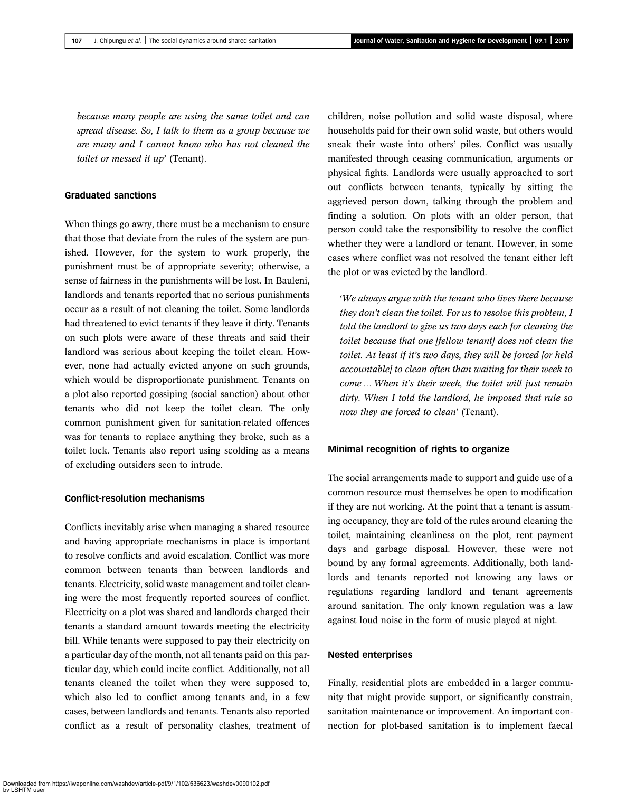because many people are using the same toilet and can spread disease. So, I talk to them as a group because we are many and I cannot know who has not cleaned the toilet or messed it up' (Tenant).

# Graduated sanctions

When things go awry, there must be a mechanism to ensure that those that deviate from the rules of the system are punished. However, for the system to work properly, the punishment must be of appropriate severity; otherwise, a sense of fairness in the punishments will be lost. In Bauleni, landlords and tenants reported that no serious punishments occur as a result of not cleaning the toilet. Some landlords had threatened to evict tenants if they leave it dirty. Tenants on such plots were aware of these threats and said their landlord was serious about keeping the toilet clean. However, none had actually evicted anyone on such grounds, which would be disproportionate punishment. Tenants on a plot also reported gossiping (social sanction) about other tenants who did not keep the toilet clean. The only common punishment given for sanitation-related offences was for tenants to replace anything they broke, such as a toilet lock. Tenants also report using scolding as a means of excluding outsiders seen to intrude.

# Conflict-resolution mechanisms

Conflicts inevitably arise when managing a shared resource and having appropriate mechanisms in place is important to resolve conflicts and avoid escalation. Conflict was more common between tenants than between landlords and tenants. Electricity, solid waste management and toilet cleaning were the most frequently reported sources of conflict. Electricity on a plot was shared and landlords charged their tenants a standard amount towards meeting the electricity bill. While tenants were supposed to pay their electricity on a particular day of the month, not all tenants paid on this particular day, which could incite conflict. Additionally, not all tenants cleaned the toilet when they were supposed to, which also led to conflict among tenants and, in a few cases, between landlords and tenants. Tenants also reported conflict as a result of personality clashes, treatment of

children, noise pollution and solid waste disposal, where households paid for their own solid waste, but others would sneak their waste into others' piles. Conflict was usually manifested through ceasing communication, arguments or physical fights. Landlords were usually approached to sort out conflicts between tenants, typically by sitting the aggrieved person down, talking through the problem and finding a solution. On plots with an older person, that person could take the responsibility to resolve the conflict whether they were a landlord or tenant. However, in some cases where conflict was not resolved the tenant either left the plot or was evicted by the landlord.

'We always argue with the tenant who lives there because they don't clean the toilet. For us to resolve this problem, I told the landlord to give us two days each for cleaning the toilet because that one [fellow tenant] does not clean the toilet. At least if it's two days, they will be forced [or held accountable] to clean often than waiting for their week to come … When it's their week, the toilet will just remain dirty. When I told the landlord, he imposed that rule so now they are forced to clean' (Tenant).

## Minimal recognition of rights to organize

The social arrangements made to support and guide use of a common resource must themselves be open to modification if they are not working. At the point that a tenant is assuming occupancy, they are told of the rules around cleaning the toilet, maintaining cleanliness on the plot, rent payment days and garbage disposal. However, these were not bound by any formal agreements. Additionally, both landlords and tenants reported not knowing any laws or regulations regarding landlord and tenant agreements around sanitation. The only known regulation was a law against loud noise in the form of music played at night.

## Nested enterprises

Finally, residential plots are embedded in a larger community that might provide support, or significantly constrain, sanitation maintenance or improvement. An important connection for plot-based sanitation is to implement faecal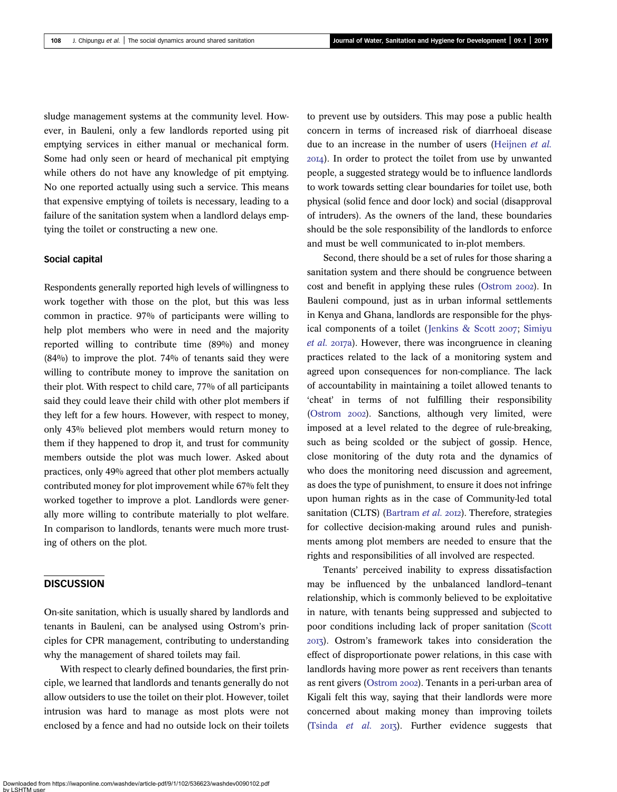sludge management systems at the community level. However, in Bauleni, only a few landlords reported using pit emptying services in either manual or mechanical form. Some had only seen or heard of mechanical pit emptying while others do not have any knowledge of pit emptying. No one reported actually using such a service. This means that expensive emptying of toilets is necessary, leading to a failure of the sanitation system when a landlord delays emptying the toilet or constructing a new one.

# Social capital

Respondents generally reported high levels of willingness to work together with those on the plot, but this was less common in practice. 97% of participants were willing to help plot members who were in need and the majority reported willing to contribute time (89%) and money (84%) to improve the plot. 74% of tenants said they were willing to contribute money to improve the sanitation on their plot. With respect to child care, 77% of all participants said they could leave their child with other plot members if they left for a few hours. However, with respect to money, only 43% believed plot members would return money to them if they happened to drop it, and trust for community members outside the plot was much lower. Asked about practices, only 49% agreed that other plot members actually contributed money for plot improvement while 67% felt they worked together to improve a plot. Landlords were generally more willing to contribute materially to plot welfare. In comparison to landlords, tenants were much more trusting of others on the plot.

# **DISCUSSION**

On-site sanitation, which is usually shared by landlords and tenants in Bauleni, can be analysed using Ostrom's principles for CPR management, contributing to understanding why the management of shared toilets may fail.

With respect to clearly defined boundaries, the first principle, we learned that landlords and tenants generally do not allow outsiders to use the toilet on their plot. However, toilet intrusion was hard to manage as most plots were not enclosed by a fence and had no outside lock on their toilets to prevent use by outsiders. This may pose a public health concern in terms of increased risk of diarrhoeal disease due to an increase in the number of users [\(Heijnen](#page-8-0) et al. ). In order to protect the toilet from use by unwanted people, a suggested strategy would be to influence landlords to work towards setting clear boundaries for toilet use, both physical (solid fence and door lock) and social (disapproval of intruders). As the owners of the land, these boundaries should be the sole responsibility of the landlords to enforce and must be well communicated to in-plot members.

Second, there should be a set of rules for those sharing a sanitation system and there should be congruence between cost and benefit in applying these rules [\(Ostrom](#page-8-0) 2002). In Bauleni compound, just as in urban informal settlements in Kenya and Ghana, landlords are responsible for the phys-ical components of a toilet ([Jenkins & Scott](#page-8-0) 2007; [Simiyu](#page-8-0) [et al.](#page-8-0) 2017a). However, there was incongruence in cleaning practices related to the lack of a monitoring system and agreed upon consequences for non-compliance. The lack of accountability in maintaining a toilet allowed tenants to 'cheat' in terms of not fulfilling their responsibility ([Ostrom](#page-8-0) 2002). Sanctions, although very limited, were imposed at a level related to the degree of rule-breaking, such as being scolded or the subject of gossip. Hence, close monitoring of the duty rota and the dynamics of who does the monitoring need discussion and agreement, as does the type of punishment, to ensure it does not infringe upon human rights as in the case of Community-led total sanitation (CLTS) [\(Bartram](#page-7-0) et al. 2012). Therefore, strategies for collective decision-making around rules and punishments among plot members are needed to ensure that the rights and responsibilities of all involved are respected.

Tenants' perceived inability to express dissatisfaction may be influenced by the unbalanced landlord–tenant relationship, which is commonly believed to be exploitative in nature, with tenants being suppressed and subjected to poor conditions including lack of proper sanitation ([Scott](#page-8-0) ). Ostrom's framework takes into consideration the effect of disproportionate power relations, in this case with landlords having more power as rent receivers than tenants as rent givers [\(Ostrom](#page-8-0) 2002). Tenants in a peri-urban area of Kigali felt this way, saying that their landlords were more concerned about making money than improving toilets ([Tsinda](#page-8-0)  $et$  al.  $2013$ ). Further evidence suggests that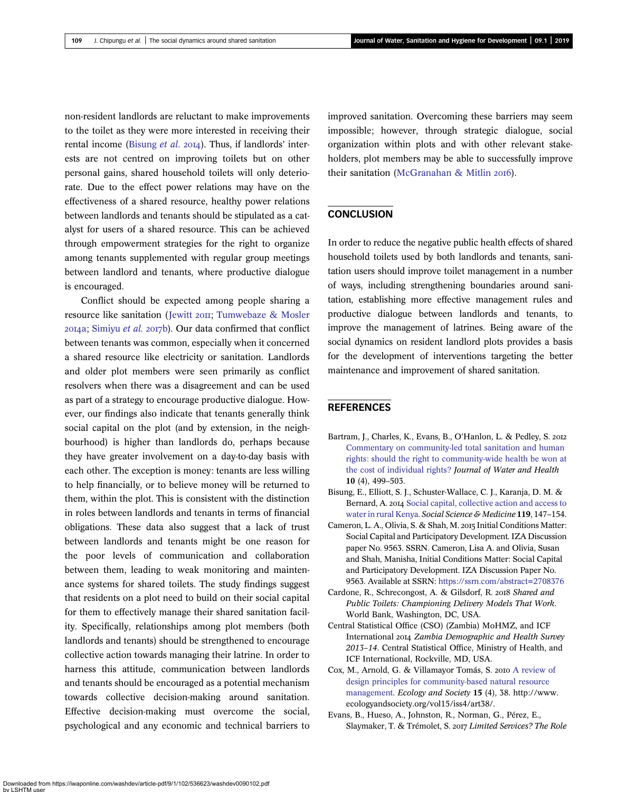<span id="page-7-0"></span>non-resident landlords are reluctant to make improvements to the toilet as they were more interested in receiving their rental income (Bisung *et al.* 2014). Thus, if landlords' interests are not centred on improving toilets but on other personal gains, shared household toilets will only deteriorate. Due to the effect power relations may have on the effectiveness of a shared resource, healthy power relations between landlords and tenants should be stipulated as a catalyst for users of a shared resource. This can be achieved through empowerment strategies for the right to organize among tenants supplemented with regular group meetings between landlord and tenants, where productive dialogue is encouraged.

Conflict should be expected among people sharing a resource like sanitation ([Jewitt](#page-8-0) 2011; [Tumwebaze & Mosler](#page-8-0)  $20I4a$ ; [Simiyu](#page-8-0) et al.  $20I7b$ ). Our data confirmed that conflict between tenants was common, especially when it concerned a shared resource like electricity or sanitation. Landlords and older plot members were seen primarily as conflict resolvers when there was a disagreement and can be used as part of a strategy to encourage productive dialogue. However, our findings also indicate that tenants generally think social capital on the plot (and by extension, in the neighbourhood) is higher than landlords do, perhaps because they have greater involvement on a day-to-day basis with each other. The exception is money: tenants are less willing to help financially, or to believe money will be returned to them, within the plot. This is consistent with the distinction in roles between landlords and tenants in terms of financial obligations. These data also suggest that a lack of trust between landlords and tenants might be one reason for the poor levels of communication and collaboration between them, leading to weak monitoring and maintenance systems for shared toilets. The study findings suggest that residents on a plot need to build on their social capital for them to effectively manage their shared sanitation facility. Specifically, relationships among plot members (both landlords and tenants) should be strengthened to encourage collective action towards managing their latrine. In order to harness this attitude, communication between landlords and tenants should be encouraged as a potential mechanism towards collective decision-making around sanitation. Effective decision-making must overcome the social, psychological and any economic and technical barriers to

improved sanitation. Overcoming these barriers may seem impossible; however, through strategic dialogue, social organization within plots and with other relevant stakeholders, plot members may be able to successfully improve their sanitation ([McGranahan & Mitlin](#page-8-0) 2016).

# **CONCLUSION**

In order to reduce the negative public health effects of shared household toilets used by both landlords and tenants, sanitation users should improve toilet management in a number of ways, including strengthening boundaries around sanitation, establishing more effective management rules and productive dialogue between landlords and tenants, to improve the management of latrines. Being aware of the social dynamics on resident landlord plots provides a basis for the development of interventions targeting the better maintenance and improvement of shared sanitation.

# **REFERENCES**

- Bartram, J., Charles, K., Evans, B., O'Hanlon, L. & Pedley, S. 2012 [Commentary on community-led total sanitation and human](http://dx.doi.org/10.2166/wh.2012.205) [rights: should the right to community-wide health be won at](http://dx.doi.org/10.2166/wh.2012.205) [the cost of individual rights?](http://dx.doi.org/10.2166/wh.2012.205) Journal of Water and Health 10 (4), 499–503.
- Bisung, E., Elliott, S. J., Schuster-Wallace, C. J., Karanja, D. M. & Bernard, A. 2014 [Social capital, collective action and access to](http://dx.doi.org/10.1016/j.socscimed.2014.07.060) [water in rural Kenya](http://dx.doi.org/10.1016/j.socscimed.2014.07.060). Social Science & Medicine 119, 147–154.
- Cameron, L. A., Olivia, S. & Shah, M. 2015 Initial Conditions Matter: Social Capital and Participatory Development. IZA Discussion paper No. 9563. SSRN. Cameron, Lisa A. and Olivia, Susan and Shah, Manisha, Initial Conditions Matter: Social Capital and Participatory Development. IZA Discussion Paper No. 9563. Available at SSRN: <https://ssrn.com/abstract=2708376>
- Cardone, R., Schrecongost, A. & Gilsdorf, R. 2018 Shared and Public Toilets: Championing Delivery Models That Work. World Bank, Washington, DC, USA.
- Central Statistical Office (CSO) (Zambia) MoHMZ, and ICF International 2014 Zambia Demographic and Health Survey 2013–14. Central Statistical Office, Ministry of Health, and ICF International, Rockville, MD, USA.
- Cox, M., Arnold, G. & Villamayor Tomás, S. 2010 [A review of](http://dx.doi.org/10.5751/ES-03704-150438) [design principles for community-based natural resource](http://dx.doi.org/10.5751/ES-03704-150438) [management](http://dx.doi.org/10.5751/ES-03704-150438). Ecology and Society 15 (4), 38. http://www. ecologyandsociety.org/vol15/iss4/art38/.
- Evans, B., Hueso, A., Johnston, R., Norman, G., Pérez, E., Slaymaker, T. & Trémolet, S. 2017 Limited Services? The Role